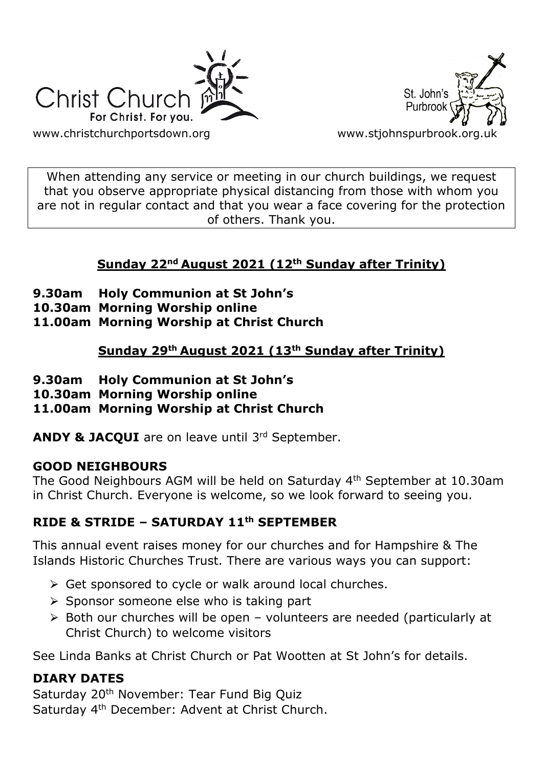



When attending any service or meeting in our church buildings, we request that you observe appropriate physical distancing from those with whom you are not in regular contact and that you wear a face covering for the protection of others. Thank you.

# **Sunday 22nd August 2021 (12th Sunday after Trinity)**

- **9.30am Holy Communion at St John's**
- **10.30am Morning Worship online**
- **11.00am Morning Worship at Christ Church**

**Sunday 29th August 2021 (13th Sunday after Trinity)**

- **9.30am Holy Communion at St John's**
- **10.30am Morning Worship online**
- **11.00am Morning Worship at Christ Church**

**ANDY & JACQUI** are on leave until 3rd September.

## **GOOD NEIGHBOURS**

The Good Neighbours AGM will be held on Saturday 4th September at 10.30am in Christ Church. Everyone is welcome, so we look forward to seeing you.

# **RIDE & STRIDE – SATURDAY 11th SEPTEMBER**

This annual event raises money for our churches and for Hampshire & The Islands Historic Churches Trust. There are various ways you can support:

- $\triangleright$  Get sponsored to cycle or walk around local churches.
- $\triangleright$  Sponsor someone else who is taking part
- $\geq$  Both our churches will be open volunteers are needed (particularly at Christ Church) to welcome visitors

See Linda Banks at Christ Church or Pat Wootten at St John's for details.

## **DIARY DATES**

Saturday 20<sup>th</sup> November: Tear Fund Big Quiz Saturday 4th December: Advent at Christ Church.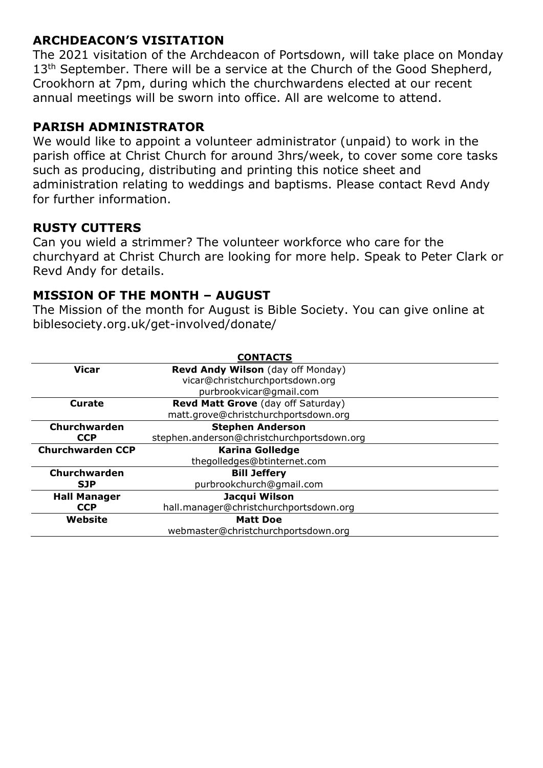## **ARCHDEACON'S VISITATION**

The 2021 visitation of the Archdeacon of Portsdown, will take place on Monday 13<sup>th</sup> September. There will be a service at the Church of the Good Shepherd, Crookhorn at 7pm, during which the churchwardens elected at our recent annual meetings will be sworn into office. All are welcome to attend.

## **PARISH ADMINISTRATOR**

We would like to appoint a volunteer administrator (unpaid) to work in the parish office at Christ Church for around 3hrs/week, to cover some core tasks such as producing, distributing and printing this notice sheet and administration relating to weddings and baptisms. Please contact Revd Andy for further information.

## **RUSTY CUTTERS**

Can you wield a strimmer? The volunteer workforce who care for the churchyard at Christ Church are looking for more help. Speak to Peter Clark or Revd Andy for details.

## **MISSION OF THE MONTH – AUGUST**

The Mission of the month for August is Bible Society. You can give online at biblesociety.org.uk/get-involved/donate/

| <b>CONTACTS</b>         |                                            |
|-------------------------|--------------------------------------------|
| Vicar                   | Revd Andy Wilson (day off Monday)          |
|                         | vicar@christchurchportsdown.org            |
|                         | purbrookvicar@gmail.com                    |
| Curate                  | Revd Matt Grove (day off Saturday)         |
|                         | matt.grove@christchurchportsdown.org       |
| Churchwarden            | <b>Stephen Anderson</b>                    |
| <b>CCP</b>              | stephen.anderson@christchurchportsdown.org |
| <b>Churchwarden CCP</b> | <b>Karina Golledge</b>                     |
|                         | thegolledges@btinternet.com                |
| Churchwarden            | <b>Bill Jeffery</b>                        |
| <b>SJP</b>              | purbrookchurch@gmail.com                   |
| <b>Hall Manager</b>     | Jacqui Wilson                              |
| <b>CCP</b>              | hall.manager@christchurchportsdown.org     |
| Website                 | <b>Matt Doe</b>                            |
|                         | webmaster@christchurchportsdown.org        |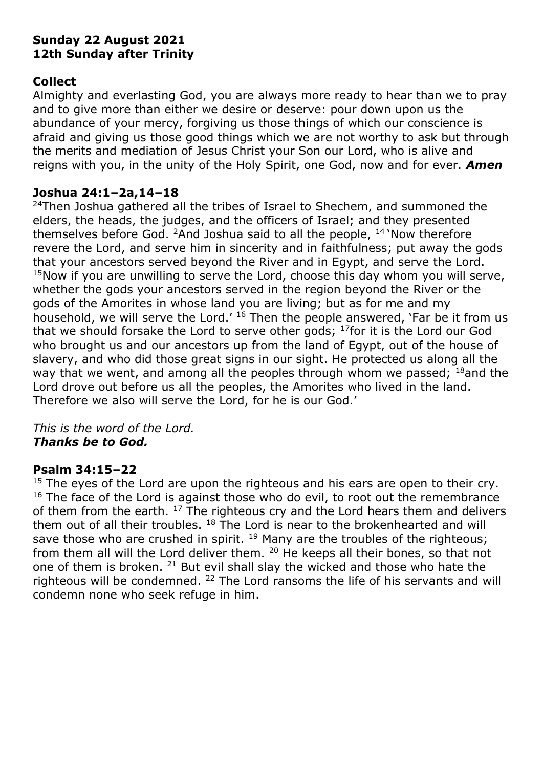#### **Sunday 22 August 2021 12th Sunday after Trinity**

#### **Collect**

Almighty and everlasting God, you are always more ready to hear than we to pray and to give more than either we desire or deserve: pour down upon us the abundance of your mercy, forgiving us those things of which our conscience is afraid and giving us those good things which we are not worthy to ask but through the merits and mediation of Jesus Christ your Son our Lord, who is alive and reigns with you, in the unity of the Holy Spirit, one God, now and for ever. *Amen*

#### **Joshua 24:1–2a,14–18**

<sup>24</sup>Then Joshua gathered all the tribes of Israel to Shechem, and summoned the elders, the heads, the judges, and the officers of Israel; and they presented themselves before God.  $2$ And Joshua said to all the people,  $14$  Now therefore revere the Lord, and serve him in sincerity and in faithfulness; put away the gods that your ancestors served beyond the River and in Egypt, and serve the Lord.  $15$ Now if you are unwilling to serve the Lord, choose this day whom you will serve, whether the gods your ancestors served in the region beyond the River or the gods of the Amorites in whose land you are living; but as for me and my household, we will serve the Lord.' <sup>16</sup> Then the people answered, 'Far be it from us that we should forsake the Lord to serve other gods;  $^{17}$  for it is the Lord our God who brought us and our ancestors up from the land of Egypt, out of the house of slavery, and who did those great signs in our sight. He protected us along all the way that we went, and among all the peoples through whom we passed;  $^{18}$  and the Lord drove out before us all the peoples, the Amorites who lived in the land. Therefore we also will serve the Lord, for he is our God.'

#### *This is the word of the Lord. Thanks be to God.*

## **Psalm 34:15–22**

 $15$  The eyes of the Lord are upon the righteous and his ears are open to their cry.  $16$  The face of the Lord is against those who do evil, to root out the remembrance of them from the earth.  $17$  The righteous cry and the Lord hears them and delivers them out of all their troubles.  $18$  The Lord is near to the brokenhearted and will save those who are crushed in spirit.  $^{19}$  Many are the troubles of the righteous; from them all will the Lord deliver them. <sup>20</sup> He keeps all their bones, so that not one of them is broken. <sup>21</sup> But evil shall slay the wicked and those who hate the righteous will be condemned. <sup>22</sup> The Lord ransoms the life of his servants and will condemn none who seek refuge in him.